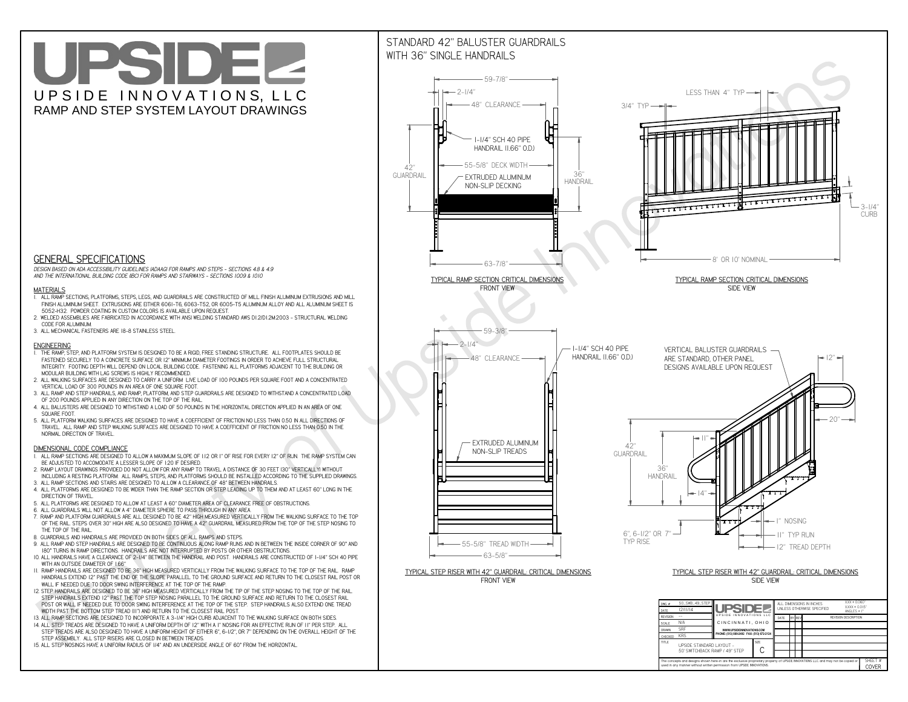**CThe concepts and designs shown here-in are the exclusive proprietary property of UPSIDE INNOVATIONS LLC. and may not be copied or**

**I** 

**used in any manner without written permission from UPSIDE INNOVATIONS.**

# UPSIDEL UPSIDE INNOVATIONS, LLC RAMP AND STEP SYSTEM LAYOUT DRAWINGS

SHEET #**COVER**

50' SWITCHBACK RAMP / 49" STEP



# WITH 36" SINGLE HANDRAILS



 *DESIGN BASED ON ADA ACCESSIBILITY GUIDELINES (ADAAG) FOR RAMPS AND STEPS - SECTIONS 4.8 & 4.9AND THE INTERNATIONAL BUILDING CODE (IBC) FOR RAMPS AND STAIRWAYS - SECTIONS 1009 & 1010*

### **MATERIALS**

- **1. ALL RAMP SECTIONS, PLATFORMS, STEPS, LEGS, AND GUARDRAILS ARE CONSTRUCTED OF MILL FINISH ALUMINUM EXTRUSIONS AND MILL FINISH ALUMINUM SHEET. EXTRUSIONS ARE EITHER 6061-T6, 6063-T52, OR 6005-T5 ALUMINUM ALLOY AND ALL ALUMINUM SHEET IS 5052-H32. POWDER COATING IN CUSTOM COLORS IS AVAILABLE UPON REQUEST.**
- **2. WELDED ASSEMBLIES ARE FABRICATED IN ACCORDANCE WITH ANSI WELDING STANDARD AWS D1.2/D1.2M:2003 STRUCTURAL WELDING CODE FOR ALUMINUM.**
- **3. ALL MECHANICAL FASTENERS ARE 18-8 STAINLESS STEEL.**

#### **ENGINEERING**

- **1. THE RAMP, STEP, AND PLATFORM SYSTEM IS DESIGNED TO BE A RIGID, FREE STANDING STRUCTURE. ALL FOOTPLATES SHOULD BE FASTENED SECURELY TO A CONCRETE SURFACE OR 12" MINIMUM DIAMETER FOOTINGS IN ORDER TO ACHIEVE FULL STRUCTURAL INTEGRITY. FOOTING DEPTH WILL DEPEND ON LOCAL BUILDING CODE. FASTENING ALL PLATFORMS ADJACENT TO THE BUILDING OR MODULAR BUILDING WITH LAG SCREWS IS HIGHLY RECOMMENDED.**
- **2. ALL WALKING SURFACES ARE DESIGNED TO CARRY A UNIFORM LIVE LOAD OF 100 POUNDS PER SQUARE FOOT AND A CONCENTRATED VERTICAL LOAD OF 300 POUNDS IN AN AREA OF ONE SQUARE FOOT.**
- **3. ALL RAMP AND STEP HANDRAILS, AND RAMP, PLATFORM, AND STEP GUARDRAILS ARE DESIGNED TO WITHSTAND A CONCENTRATED LOAD OF 200 POUNDS APPLIED IN ANY DIRECTION ON THE TOP OF THE RAIL.**
- **4. ALL BALUSTERS ARE DESIGNED TO WITHSTAND A LOAD OF 50 POUNDS IN THE HORIZONTAL DIRECTION APPLIED IN AN AREA OF ONE SQUARE FOOT.**
- **5. ALL PLATFORM WALKING SURFACES ARE DESIGNED TO HAVE A COEFFICIENT OF FRICTION NO LESS THAN 0.50 IN ALL DIRECTIONS OF TRAVEL. ALL RAMP AND STEP WALKING SURFACES ARE DESIGNED TO HAVE A COEFFICIENT OF FRICTION NO LESS THAN 0.50 IN THE NORMAL DIRECTION OF TRAVEL.**

### **DIMENSIONAL CODE COMPLIANCE**

- **1. ALL RAMP SECTIONS ARE DESIGNED TO ALLOW A MAXIMUM SLOPE OF 1:12 OR 1" OF RISE FOR EVERY 12" OF RUN. THE RAMP SYSTEM CAN BE ADJUSTED TO ACCOMODATE A LESSER SLOPE OF 1:20 IF DESIRED.**
- **2. RAMP LAYOUT DRAWINGS PROVIDED DO NOT ALLOW FOR ANY RAMP TO TRAVEL A DISTANCE OF 30 FEET (30" VERTICALLY) WITHOUT INCLUDING A RESTING PLATFORM. ALL RAMPS, STEPS, AND PLATFORMS SHOULD BE INSTALLED ACCORDING TO THE SUPPLIED DRAWINGS.**
- **3. ALL RAMP SECTIONS AND STAIRS ARE DESIGNED TO ALLOW A CLEARANCE OF 48" BETWEEN HANDRAILS.**
- **4. ALL PLATFORMS ARE DESIGNED TO BE WIDER THAN THE RAMP SECTION OR STEP LEADING UP TO THEM AND AT LEAST 60" LONG IN THE DIRECTION OF TRAVEL.**
- **5. ALL PLATFORMS ARE DESIGNED TO ALLOW AT LEAST A 60" DIAMETER AREA OF CLEARANCE FREE OF OBSTRUCTIONS.**
- **6. ALL GUARDRAILS WILL NOT ALLOW A 4" DIAMETER SPHERE TO PASS THROUGH IN ANY AREA.**
- **7. RAMP AND PLATFORM GUARDRAILS ARE ALL DESIGNED TO BE 42" HIGH MEASURED VERTICALLY FROM THE WALKING SURFACE TO THE TOP OF THE RAIL. STEPS OVER 30" HIGH ARE ALSO DESIGNED TO HAVE A 42" GUARDRAIL MEASURED FROM THE TOP OF THE STEP NOSING TO THE TOP OF THE RAIL.**
- **8. GUARDRAILS AND HANDRAILS ARE PROVIDED ON BOTH SIDES OF ALL RAMPS AND STEPS.**
- **9. ALL RAMP AND STEP HANDRAILS ARE DESIGNED TO BE CONTINUOUS ALONG RAMP RUNS AND IN BETWEEN THE INSIDE CORNER OF 90° AND 180° TURNS IN RAMP DIRECTIONS. HANDRAILS ARE NOT INTERRUPTED BY POSTS OR OTHER OBSTRUCTIONS.**
- **10. ALL HANDRAILS HAVE A CLEARANCE OF 2-1/4" BETWEEN THE HANDRAIL AND POST. HANDRAILS ARE CONSTRUCTED OF 1-1/4" SCH 40 PIPE WITH AN OUTSIDE DIAMETER OF 1.66"**
- **11. RAMP HANDRAILS ARE DESIGNED TO BE 36" HIGH MEASURED VERTICALLY FROM THE WALKING SURFACE TO THE TOP OF THE RAIL. RAMP HANDRAILS EXTEND 12" PAST THE END OF THE SLOPE PARALLEL TO THE GROUND SURFACE AND RETURN TO THE CLOSEST RAIL POST OR WALL IF NEEDED DUE TO DOOR SWING INTERFERENCE AT THE TOP OF THE RAMP.**
- **12. STEP HANDRAILS ARE DESIGNED TO BE 36" HIGH MEASURED VERTICALLY FROM THE TIP OF THE STEP NOSING TO THE TOP OF THE RAIL. STEP HANDRAILS EXTEND 12" PAST THE TOP STEP NOSING PARALLEL TO THE GROUND SURFACE AND RETURN TO THE CLOSEST RAIL POST OR WALL IF NEEDED DUE TO DOOR SWING INTERFERENCE AT THE TOP OF THE STEP. STEP HANDRAILS ALSO EXTEND ONE TREAD WIDTH PAST THE BOTTOM STEP TREAD (11") AND RETURN TO THE CLOSEST RAIL POST.**
- **13. ALL RAMP SECTIONS ARE DESIGNED TO INCORPORATE A 3-1/4" HIGH CURB ADJACENT TO THE WALKING SURFACE ON BOTH SIDES.**
- **14. ALL STEP TREADS ARE DESIGNED TO HAVE A UNIFORM DEPTH OF 12" WITH A 1" NOSING FOR AN EFFECTIVE RUN OF 11" PER STEP. ALL**
- **STEP TREADS ARE ALSO DESIGNED TO HAVE A UNIFORM HEIGHT OF EITHER 6", 6-1/2", OR 7" DEPENDING ON THE OVERALL HEIGHT OF THE STEP ASSEMBLY. ALL STEP RISERS ARE CLOSED IN BETWEEN TREADS.**
- **15. ALL STEP NOSINGS HAVE A UNIFORM RADIUS OF 1/4" AND AN UNDERSIDE ANGLE OF 60° FROM THE HORIZONTAL.**